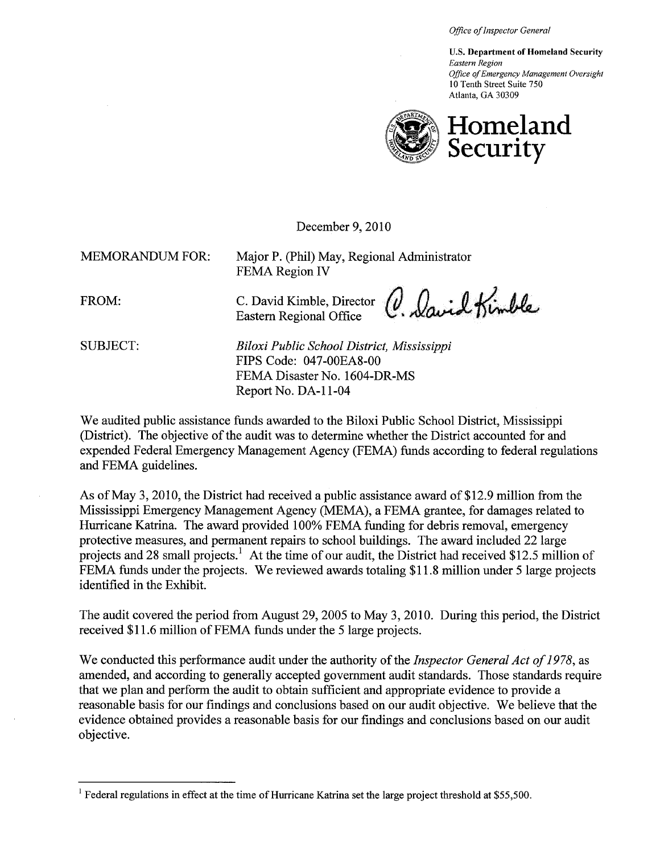Office of Inspector General

U.S. Department of Homeland Security Eastern Region Office q( Emergency Management Oversight 10 Tenth Street Suite 750 Atlanta, GA 30309



December 9, 2010

MEMORANDUM FOR: Major P. (Phil) May, Regional Administrator FEMA Region IV

FROM: C. David Kimble, Director Eastern Regional Office U. Waurd Dimbre

SUBJECT: Biloxi Public School District, Mississippi FIPS Code: 047 -00EA8-00 FEMA Disaster No. 1604-DR-MS Report No. DA-II-04

We audited public assistance funds awarded to the Biloxi Public School District, Mississippi (District). The objective of the audit was to determine whether the District accounted for and expended Federal Emergency Management Agency (FEMA) funds according to federal regulations and FEMA guidelines.

As of May 3, 2010, the District had received a public assistance award of\$12.9 milion from the Mississippi Emergency Management Agency (MEMA), a FEMA grantee, for damages related to Hurricane Katrina. The award provided 100% FEMA funding for debris removal, emergency protective measures, and permanent repairs to school buildings. The award included 22 large projects and 28 small projects.<sup>1</sup> At the time of our audit, the District had received \$12.5 million of FEMA funds under the projects. We reviewed awards totaling \$11.8 million under 5 large projects identified in the Exhibit.

The audit covered the period from August 29,2005 to May 3, 2010. During this period, the District received \$11.6 million of FEMA funds under the 5 large projects.

We conducted this performance audit under the authority of the *Inspector General Act of 1978*, as amended, and according to generally accepted government audit standards. Those standards require that we plan and perform the audit to obtain sufficient and appropriate evidence to provide a reasonable basis for our findings and conclusions based on our audit objective. We believe that the evidence obtained provides a reasonable basis for our findings and conclusions based on our audit objective.

<sup>&</sup>lt;sup>1</sup> Federal regulations in effect at the time of Hurricane Katrina set the large project threshold at \$55,500.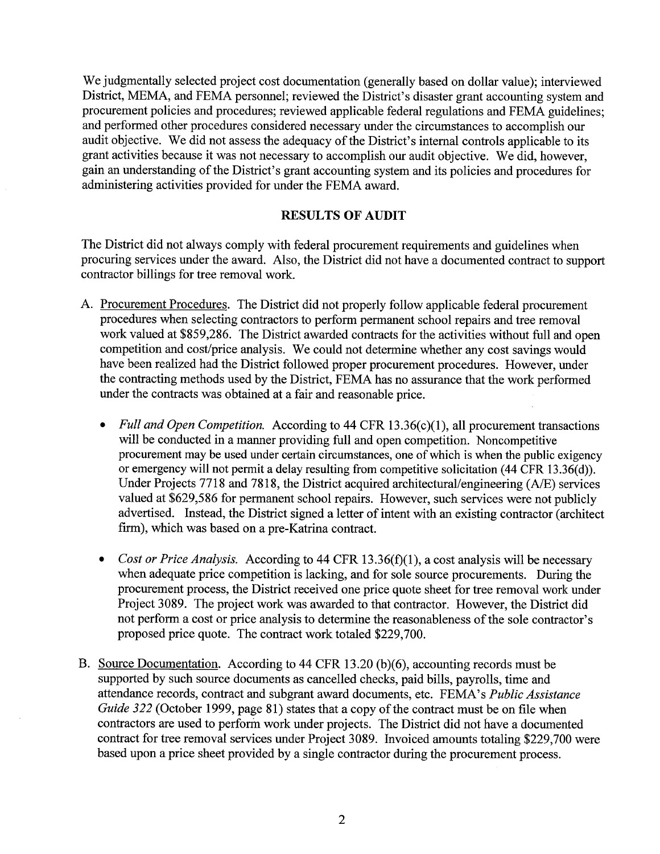We judgmentally selected project cost documentation (generally based on dollar value); interviewed District, MEMA, and FEMA personnel; reviewed the District's disaster grant accounting system and procurement policies and procedures; reviewed applicable federal regulations and FEMA guidelines; and performed other procedures considered necessary under the circumstances to accomplish our audit objective. We did not assess the adequacy of the District's internal controls applicable to its grant activities because it was not necessary to accomplish our audit objective. We did, however, gain an understanding of the District's grant accounting system and its policies and procedures for administering activities provided for under the FEMA award.

### **RESULTS OF AUDIT**

The District did not always comply with federal procurement requirements and guidelines when procuring services under the award. Also, the District did not have a documented contract to support contractor bilings for tree removal work.

- A. Procurement Procedures. The District did not properly follow applicable federal procurement procedures when selecting contractors to perform permanent school repairs and tree removal work valued at \$859,286. The District awarded contracts for the activities without full and open competition and cost/price analysis. We could not determine whether any cost savings would have been realized had the District followed proper procurement procedures. However, under the contracting methods used by the District, FEMA has no assurance that the work performed under the contracts was obtained at a fair and reasonable price.
	- Full and Open Competition. According to 44 CFR 13.36(c)(1), all procurement transactions will be conducted in a manner providing full and open competition. Noncompetitive procurement may be used under certain circumstances, one of which is when the public exigency or emergency will not permit a delay resulting from competitive solicitation (44 CFR 13.36(d)). Under Projects 7718 and 7818, the District acquired architectural/engineering  $(A/E)$  services valued at \$629,586 for permanent school repairs. However, such services were not publicly advertised. Instead, the District signed a letter of intent with an existing contractor (architect firm), which was based on a pre-Katrina contract.
	- Cost or Price Analysis. According to 44 CFR 13.36(f)(1), a cost analysis will be necessary when adequate price competition is lacking, and for sole source procurements. During the procurement process, the District received one price quote sheet for tree removal work under Project 3089. The project work was awarded to that contractor. However, the District did not perform a cost or price analysis to determine the reasonableness of the sole contractor's proposed price quote. The contract work totaled \$229,700.
- B. Source Documentation. According to 44 CFR 13.20 (b)(6), accounting records must be supported by such source documents as cancelled checks, paid bils, payrolls, time and attendance records, contract and subgrant award documents, etc. FEMA's Public Assistance Guide 322 (October 1999, page 81) states that a copy of the contract must be on file when contractors are used to perform work under projects. The District did not have a documented contract for tree removal services under Project 3089. Invoiced amounts totaling \$229,700 were based upon a price sheet provided by a single contractor during the procurement process.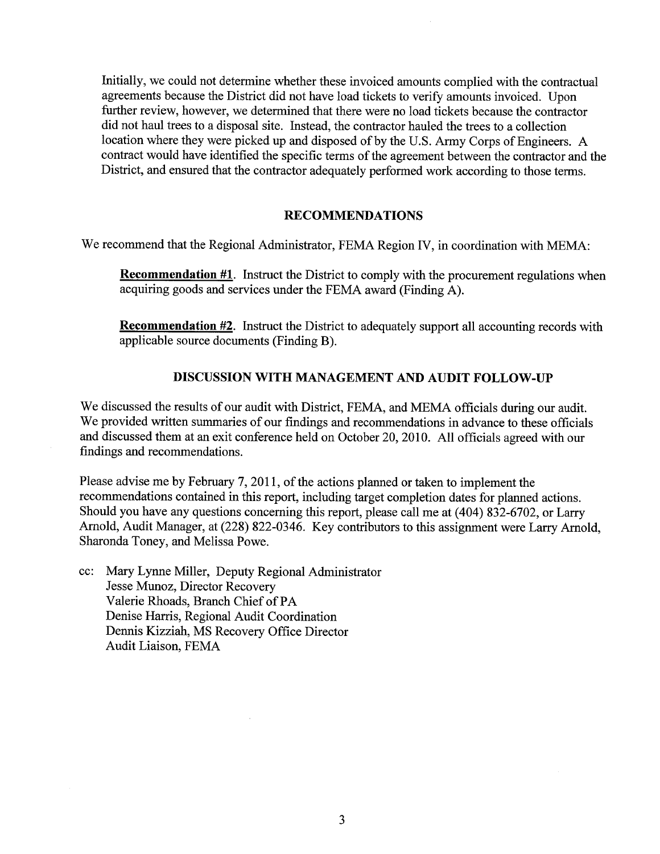Initially, we could not determine whether these invoiced amounts complied with the contractual agreements because the District did not have load tickets to verify amounts invoiced. Upon further review, however, we determined that there were no load tickets because the contractor did not haul trees to a disposal site. Instead, the contractor hauled the trees to a collection location where they were picked up and disposed of by the U.S. Army Corps of Engineers. A contract would have identified the specific terms of the agreement between the contractor and the District, and ensured that the contractor adequately performed work according to those terms.

#### RECOMMENDATIONS

We recommend that the Regional Administrator, FEMA Region IV, in coordination with MEMA:

Recommendation #1. Instruct the District to comply with the procurement regulations when acquiring goods and services under the FEMA award (Finding A).

**Recommendation #2.** Instruct the District to adequately support all accounting records with applicable source documents (Finding B).

#### DISCUSSION WITH MANAGEMENT AND AUDIT FOLLOW-UP

We discussed the results of our audit with District, FEMA, and MEMA officials during our audit. We provided written sumaries of our findings and recommendations in advance to these officials and discussed them at an exit conference held on October 20,2010. All officials agreed with our findings and recommendations.

Please advise me by February 7, 2011, of the actions planned or taken to implement the recommendations contained in this report, including target completion dates for planned actions. Should you have any questions concerning this report, please call me at (404) 832-6702, or Larry Arnold, Audit Manager, at (228) 822-0346. Key contributors to this assignment were Larry Arnold, Sharonda Toney, and Melissa Powe.

cc: Mary Lynne Miler, Deputy Regional Administrator Jesse Munoz, Director Recovery Valerie Rhoads, Branch Chief of PA Denise Harris, Regional Audit Coordination Dennis Kizziah, MS Recovery Office Director Audit Liaison, FEMA